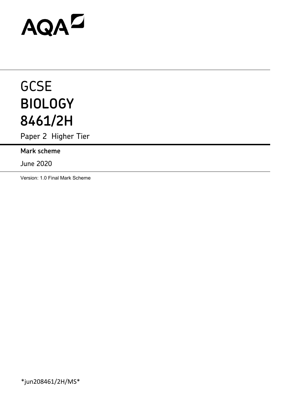# AQAD

# **GCSE BIOLOGY 8461/2H**

Paper 2 Higher Tier

**Mark scheme**

June 2020

Version: 1.0 Final Mark Scheme

\*jun208461/2H/MS\*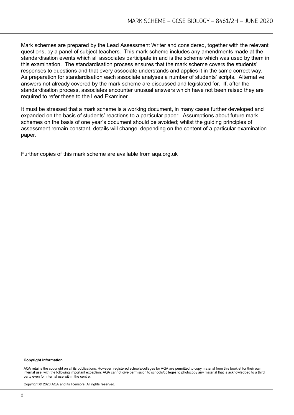Mark schemes are prepared by the Lead Assessment Writer and considered, together with the relevant questions, by a panel of subject teachers. This mark scheme includes any amendments made at the standardisation events which all associates participate in and is the scheme which was used by them in this examination. The standardisation process ensures that the mark scheme covers the students' responses to questions and that every associate understands and applies it in the same correct way. As preparation for standardisation each associate analyses a number of students' scripts. Alternative answers not already covered by the mark scheme are discussed and legislated for. If, after the standardisation process, associates encounter unusual answers which have not been raised they are required to refer these to the Lead Examiner.

It must be stressed that a mark scheme is a working document, in many cases further developed and expanded on the basis of students' reactions to a particular paper. Assumptions about future mark schemes on the basis of one year's document should be avoided; whilst the guiding principles of assessment remain constant, details will change, depending on the content of a particular examination paper.

Further copies of this mark scheme are available from aqa.org.uk

#### **Copyright information**

AQA retains the copyright on all its publications. However, registered schools/colleges for AQA are permitted to copy material from this booklet for their own internal use, with the following important exception: AQA cannot give permission to schools/colleges to photocopy any material that is acknowledged to a third party even for internal use within the centre.

Copyright © 2020 AQA and its licensors. All rights reserved.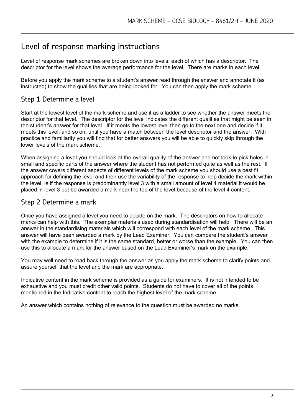# Level of response marking instructions

Level of response mark schemes are broken down into levels, each of which has a descriptor. The descriptor for the level shows the average performance for the level. There are marks in each level.

Before you apply the mark scheme to a student's answer read through the answer and annotate it (as instructed) to show the qualities that are being looked for. You can then apply the mark scheme.

# Step 1 Determine a level

Start at the lowest level of the mark scheme and use it as a ladder to see whether the answer meets the descriptor for that level. The descriptor for the level indicates the different qualities that might be seen in the student's answer for that level. If it meets the lowest level then go to the next one and decide if it meets this level, and so on, until you have a match between the level descriptor and the answer. With practice and familiarity you will find that for better answers you will be able to quickly skip through the lower levels of the mark scheme.

When assigning a level you should look at the overall quality of the answer and not look to pick holes in small and specific parts of the answer where the student has not performed quite as well as the rest. If the answer covers different aspects of different levels of the mark scheme you should use a best fit approach for defining the level and then use the variability of the response to help decide the mark within the level, ie if the response is predominantly level 3 with a small amount of level 4 material it would be placed in level 3 but be awarded a mark near the top of the level because of the level 4 content.

## Step 2 Determine a mark

Once you have assigned a level you need to decide on the mark. The descriptors on how to allocate marks can help with this. The exemplar materials used during standardisation will help. There will be an answer in the standardising materials which will correspond with each level of the mark scheme. This answer will have been awarded a mark by the Lead Examiner. You can compare the student's answer with the example to determine if it is the same standard, better or worse than the example. You can then use this to allocate a mark for the answer based on the Lead Examiner's mark on the example.

You may well need to read back through the answer as you apply the mark scheme to clarify points and assure yourself that the level and the mark are appropriate.

Indicative content in the mark scheme is provided as a guide for examiners. It is not intended to be exhaustive and you must credit other valid points. Students do not have to cover all of the points mentioned in the Indicative content to reach the highest level of the mark scheme.

An answer which contains nothing of relevance to the question must be awarded no marks.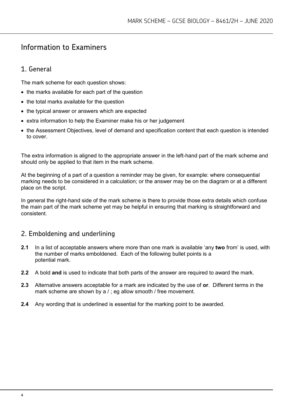# Information to Examiners

# 1. General

The mark scheme for each question shows:

- the marks available for each part of the question
- the total marks available for the question
- the typical answer or answers which are expected
- extra information to help the Examiner make his or her judgement
- the Assessment Objectives, level of demand and specification content that each question is intended to cover.

The extra information is aligned to the appropriate answer in the left-hand part of the mark scheme and should only be applied to that item in the mark scheme.

At the beginning of a part of a question a reminder may be given, for example: where consequential marking needs to be considered in a calculation; or the answer may be on the diagram or at a different place on the script.

In general the right-hand side of the mark scheme is there to provide those extra details which confuse the main part of the mark scheme yet may be helpful in ensuring that marking is straightforward and consistent.

# 2. Emboldening and underlining

- **2.1** In a list of acceptable answers where more than one mark is available 'any **two** from' is used, with the number of marks emboldened. Each of the following bullet points is a potential mark.
- **2.2** A bold **and** is used to indicate that both parts of the answer are required to award the mark.
- **2.3** Alternative answers acceptable for a mark are indicated by the use of **or**. Different terms in the mark scheme are shown by a / ; eg allow smooth / free movement.
- **2.4** Any wording that is underlined is essential for the marking point to be awarded.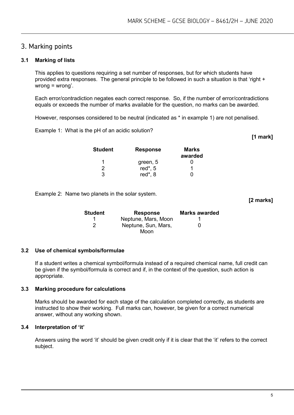### 3. Marking points

#### **3.1 Marking of lists**

This applies to questions requiring a set number of responses, but for which students have provided extra responses. The general principle to be followed in such a situation is that 'right + wrong = wrong'.

Each error/contradiction negates each correct response. So, if the number of error/contradictions equals or exceeds the number of marks available for the question, no marks can be awarded.

However, responses considered to be neutral (indicated as \* in example 1) are not penalised.

Example 1: What is the pH of an acidic solution?

| <b>Student</b> | <b>Response</b> | Marks<br>awarded |
|----------------|-----------------|------------------|
| 1              | green, 5        |                  |
| 2              | red*, 5         |                  |
| 3              | red*, 8         |                  |

Example 2: Name two planets in the solar system.

| Student | <b>Response</b>     | <b>Marks awarded</b> |
|---------|---------------------|----------------------|
|         | Neptune, Mars, Moon |                      |
| 2       | Neptune, Sun, Mars, | 0                    |
|         | Moon                |                      |

#### **3.2 Use of chemical symbols/formulae**

If a student writes a chemical symbol/formula instead of a required chemical name, full credit can be given if the symbol/formula is correct and if, in the context of the question, such action is appropriate.

#### **3.3 Marking procedure for calculations**

Marks should be awarded for each stage of the calculation completed correctly, as students are instructed to show their working. Full marks can, however, be given for a correct numerical answer, without any working shown.

#### **3.4 Interpretation of 'it'**

Answers using the word 'it' should be given credit only if it is clear that the 'it' refers to the correct subject.

**[1 mark]**

**[2 marks]**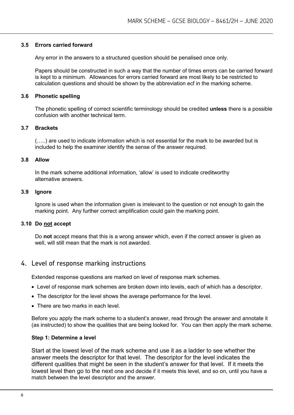#### **3.5 Errors carried forward**

Any error in the answers to a structured question should be penalised once only.

Papers should be constructed in such a way that the number of times errors can be carried forward is kept to a minimum. Allowances for errors carried forward are most likely to be restricted to calculation questions and should be shown by the abbreviation ecf in the marking scheme.

#### **3.6 Phonetic spelling**

The phonetic spelling of correct scientific terminology should be credited **unless** there is a possible confusion with another technical term.

#### **3.7 Brackets**

(…..) are used to indicate information which is not essential for the mark to be awarded but is included to help the examiner identify the sense of the answer required.

#### **3.8 Allow**

In the mark scheme additional information, 'allow' is used to indicate creditworthy alternative answers.

#### **3.9 Ignore**

Ignore is used when the information given is irrelevant to the question or not enough to gain the marking point. Any further correct amplification could gain the marking point.

#### **3.10 Do not accept**

Do **not** accept means that this is a wrong answer which, even if the correct answer is given as well, will still mean that the mark is not awarded.

#### 4. Level of response marking instructions

Extended response questions are marked on level of response mark schemes.

- Level of response mark schemes are broken down into levels, each of which has a descriptor.
- The descriptor for the level shows the average performance for the level.
- There are two marks in each level.

Before you apply the mark scheme to a student's answer, read through the answer and annotate it (as instructed) to show the qualities that are being looked for. You can then apply the mark scheme.

#### **Step 1: Determine a level**

Start at the lowest level of the mark scheme and use it as a ladder to see whether the answer meets the descriptor for that level. The descriptor for the level indicates the different qualities that might be seen in the student's answer for that level. If it meets the lowest level then go to the next one and decide if it meets this level, and so on, until you have a match between the level descriptor and the answer.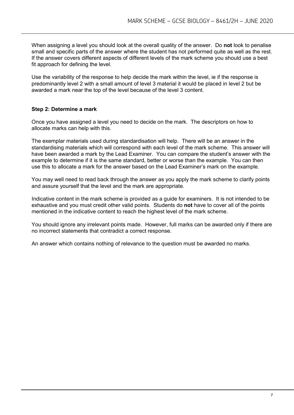When assigning a level you should look at the overall quality of the answer. Do **not** look to penalise small and specific parts of the answer where the student has not performed quite as well as the rest. If the answer covers different aspects of different levels of the mark scheme you should use a best fit approach for defining the level.

Use the variability of the response to help decide the mark within the level, ie if the response is predominantly level 2 with a small amount of level 3 material it would be placed in level 2 but be awarded a mark near the top of the level because of the level 3 content.

#### **Step 2: Determine a mark**

Once you have assigned a level you need to decide on the mark. The descriptors on how to allocate marks can help with this.

The exemplar materials used during standardisation will help. There will be an answer in the standardising materials which will correspond with each level of the mark scheme. This answer will have been awarded a mark by the Lead Examiner. You can compare the student's answer with the example to determine if it is the same standard, better or worse than the example. You can then use this to allocate a mark for the answer based on the Lead Examiner's mark on the example.

You may well need to read back through the answer as you apply the mark scheme to clarify points and assure yourself that the level and the mark are appropriate.

Indicative content in the mark scheme is provided as a guide for examiners. It is not intended to be exhaustive and you must credit other valid points. Students do **not** have to cover all of the points mentioned in the indicative content to reach the highest level of the mark scheme.

You should ignore any irrelevant points made. However, full marks can be awarded only if there are no incorrect statements that contradict a correct response.

An answer which contains nothing of relevance to the question must be awarded no marks.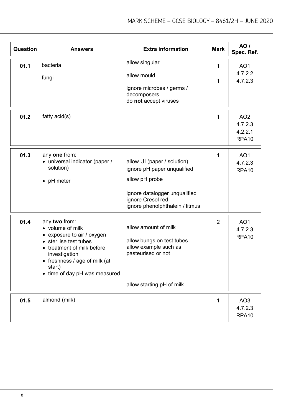| Question | <b>Answers</b>                                                                                                                                                                                                     | <b>Extra information</b>                                                                                                                                              | <b>Mark</b>    | <b>AO</b> /<br>Spec. Ref.                                  |
|----------|--------------------------------------------------------------------------------------------------------------------------------------------------------------------------------------------------------------------|-----------------------------------------------------------------------------------------------------------------------------------------------------------------------|----------------|------------------------------------------------------------|
| 01.1     | bacteria<br>fungi                                                                                                                                                                                                  | allow singular<br>allow mould<br>ignore microbes / germs /<br>decomposers<br>do not accept viruses                                                                    | 1<br>1         | AO <sub>1</sub><br>4.7.2.2<br>4.7.2.3                      |
| 01.2     | fatty $acid(s)$                                                                                                                                                                                                    |                                                                                                                                                                       | 1              | AO <sub>2</sub><br>4.7.2.3<br>4.2.2.1<br>RPA <sub>10</sub> |
| 01.3     | any one from:<br>• universal indicator (paper /<br>solution)<br>• pH meter                                                                                                                                         | allow UI (paper / solution)<br>ignore pH paper unqualified<br>allow pH probe<br>ignore datalogger unqualified<br>ignore Cresol red<br>ignore phenolphthalein / litmus | 1              | AO <sub>1</sub><br>4.7.2.3<br>RPA <sub>10</sub>            |
| 01.4     | any two from:<br>• volume of milk<br>• exposure to air / oxygen<br>• sterilise test tubes<br>• treatment of milk before<br>investigation<br>freshness / age of milk (at<br>start)<br>• time of day pH was measured | allow amount of milk<br>allow bungs on test tubes<br>allow example such as<br>pasteurised or not<br>allow starting pH of milk                                         | $\overline{2}$ | AO <sub>1</sub><br>4.7.2.3<br>RPA <sub>10</sub>            |
| 01.5     | almond (milk)                                                                                                                                                                                                      |                                                                                                                                                                       | 1              | AO <sub>3</sub><br>4.7.2.3<br>RPA10                        |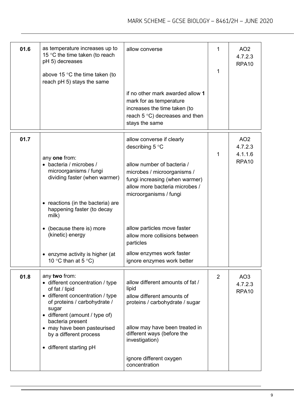| 01.6 | as temperature increases up to<br>15 °C the time taken (to reach<br>pH 5) decreases<br>above 15 $\degree$ C the time taken (to<br>reach pH 5) stays the same                                                                                                                               | allow converse                                                                                                                                                                                                          | 1<br>1         | AO <sub>2</sub><br>4.7.2.3<br>RPA <sub>10</sub>            |
|------|--------------------------------------------------------------------------------------------------------------------------------------------------------------------------------------------------------------------------------------------------------------------------------------------|-------------------------------------------------------------------------------------------------------------------------------------------------------------------------------------------------------------------------|----------------|------------------------------------------------------------|
|      |                                                                                                                                                                                                                                                                                            | if no other mark awarded allow 1<br>mark for as temperature<br>increases the time taken (to<br>reach $5^{\circ}$ C) decreases and then<br>stays the same                                                                |                |                                                            |
| 01.7 | any one from:<br>• bacteria / microbes /<br>microorganisms / fungi<br>dividing faster (when warmer)<br>• reactions (in the bacteria) are<br>happening faster (to decay<br>milk)                                                                                                            | allow converse if clearly<br>describing $5^{\circ}$ C<br>allow number of bacteria /<br>microbes / microorganisms /<br>fungi increasing (when warmer)<br>allow more bacteria microbes /<br>microorganisms / fungi        | 1              | AO <sub>2</sub><br>4.7.2.3<br>4.1.1.6<br>RPA <sub>10</sub> |
|      | (because there is) more<br>(kinetic) energy<br>enzyme activity is higher (at<br>10 °C than at 5 °C)                                                                                                                                                                                        | allow particles move faster<br>allow more collisions between<br>particles<br>allow enzymes work faster<br>ignore enzymes work better                                                                                    |                |                                                            |
| 01.8 | any two from:<br>• different concentration / type<br>of fat / lipid<br>• different concentration / type<br>of proteins / carbohydrate /<br>sugar<br>• different (amount / type of)<br>bacteria present<br>• may have been pasteurised<br>by a different process<br>• different starting pH | allow different amounts of fat /<br>lipid<br>allow different amounts of<br>proteins / carbohydrate / sugar<br>allow may have been treated in<br>different ways (before the<br>investigation)<br>ignore different oxygen | $\overline{2}$ | AO <sub>3</sub><br>4.7.2.3<br>RPA <sub>10</sub>            |
|      |                                                                                                                                                                                                                                                                                            | concentration                                                                                                                                                                                                           |                |                                                            |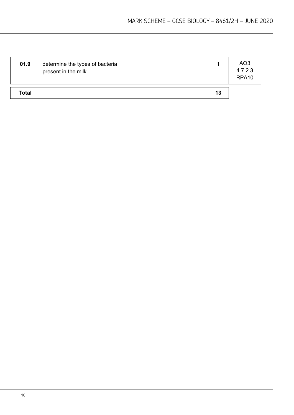| 01.9         | determine the types of bacteria<br>present in the milk |    | AO <sub>3</sub><br>4.7.2.3<br>RPA <sub>10</sub> |
|--------------|--------------------------------------------------------|----|-------------------------------------------------|
| <b>Total</b> |                                                        | 13 |                                                 |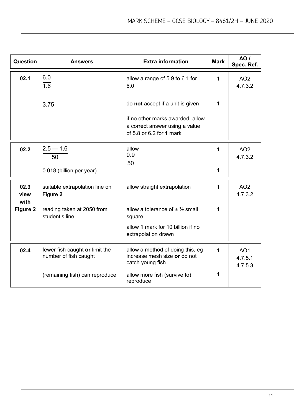| Question             | <b>Answers</b>                                          | <b>Extra information</b>                                                             | <b>Mark</b>  | <b>AO</b> /<br>Spec. Ref.             |
|----------------------|---------------------------------------------------------|--------------------------------------------------------------------------------------|--------------|---------------------------------------|
| 02.1                 | 6.0<br>$\overline{1.6}$                                 | allow a range of 5.9 to 6.1 for<br>6.0                                               | $\mathbf{1}$ | AO <sub>2</sub><br>4.7.3.2            |
|                      | 3.75                                                    | do not accept if a unit is given<br>if no other marks awarded, allow                 | 1            |                                       |
|                      |                                                         | a correct answer using a value<br>of 5.8 or 6.2 for 1 mark                           |              |                                       |
| 02.2                 | $2.5 - 1.6$<br>50                                       | allow<br>0.9<br>50                                                                   | 1            | AO <sub>2</sub><br>4.7.3.2            |
|                      | 0.018 (billion per year)                                |                                                                                      | 1            |                                       |
| 02.3<br>view<br>with | suitable extrapolation line on<br>Figure 2              | allow straight extrapolation                                                         | 1            | AO <sub>2</sub><br>4.7.3.2            |
| Figure 2             | reading taken at 2050 from<br>student's line            | allow a tolerance of $\pm \frac{1}{2}$ small<br>square                               | 1            |                                       |
|                      |                                                         | allow 1 mark for 10 billion if no<br>extrapolation drawn                             |              |                                       |
| 02.4                 | fewer fish caught or limit the<br>number of fish caught | allow a method of doing this, eg<br>increase mesh size or do not<br>catch young fish | 1            | AO <sub>1</sub><br>4.7.5.1<br>4.7.5.3 |
|                      | (remaining fish) can reproduce                          | allow more fish (survive to)<br>reproduce                                            | 1            |                                       |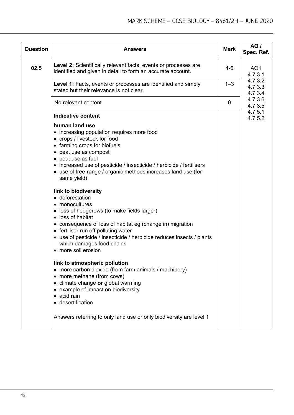| Question | <b>Answers</b>                                                                                                                                                                                                                                                                                                                                                                                                                                                                                                                                                                                                                                                                                                                                                                                                                                                                                                                                                                                                                                              | <b>Mark</b> | <b>AO</b> /<br>Spec. Ref.     |
|----------|-------------------------------------------------------------------------------------------------------------------------------------------------------------------------------------------------------------------------------------------------------------------------------------------------------------------------------------------------------------------------------------------------------------------------------------------------------------------------------------------------------------------------------------------------------------------------------------------------------------------------------------------------------------------------------------------------------------------------------------------------------------------------------------------------------------------------------------------------------------------------------------------------------------------------------------------------------------------------------------------------------------------------------------------------------------|-------------|-------------------------------|
| 02.5     | Level 2: Scientifically relevant facts, events or processes are<br>identified and given in detail to form an accurate account.                                                                                                                                                                                                                                                                                                                                                                                                                                                                                                                                                                                                                                                                                                                                                                                                                                                                                                                              | $4-6$       | AO <sub>1</sub><br>4.7.3.1    |
|          | Level 1: Facts, events or processes are identified and simply<br>stated but their relevance is not clear.                                                                                                                                                                                                                                                                                                                                                                                                                                                                                                                                                                                                                                                                                                                                                                                                                                                                                                                                                   | $1 - 3$     | 4.7.3.2<br>4.7.3.3<br>4.7.3.4 |
|          | No relevant content                                                                                                                                                                                                                                                                                                                                                                                                                                                                                                                                                                                                                                                                                                                                                                                                                                                                                                                                                                                                                                         | 0           | 4.7.3.6<br>4.7.3.5            |
|          | <b>Indicative content</b><br>human land use<br>• increasing population requires more food<br>• crops / livestock for food<br>• farming crops for biofuels<br>• peat use as compost<br>• peat use as fuel<br>• increased use of pesticide / insecticide / herbicide / fertilisers<br>• use of free-range / organic methods increases land use (for<br>same yield)<br>link to biodiversity<br>• deforestation<br>• monocultures<br>• loss of hedgerows (to make fields larger)<br>• loss of habitat<br>• consequence of loss of habitat eg (change in) migration<br>• fertiliser run off polluting water<br>• use of pesticide / insecticide / herbicide reduces insects / plants<br>which damages food chains<br>• more soil erosion<br>link to atmospheric pollution<br>• more carbon dioxide (from farm animals / machinery)<br>• more methane (from cows)<br>• climate change or global warming<br>• example of impact on biodiversity<br>$\bullet$ acid rain<br>• desertification<br>Answers referring to only land use or only biodiversity are level 1 |             | 4.7.5.1<br>4.7.5.2            |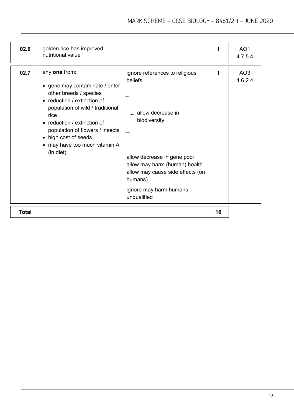| 02.6         | golden rice has improved<br>nutritional value                                                                                                                                                                                                                                                |                                                                                                                                                                                                                                        | 1  | AO <sub>1</sub><br>4.7.5.4 |
|--------------|----------------------------------------------------------------------------------------------------------------------------------------------------------------------------------------------------------------------------------------------------------------------------------------------|----------------------------------------------------------------------------------------------------------------------------------------------------------------------------------------------------------------------------------------|----|----------------------------|
| 02.7         | any one from:<br>• gene may contaminate / enter<br>other breeds / species<br>• reduction / extinction of<br>population of wild / traditional<br>rice<br>• reduction / extinction of<br>population of flowers / insects<br>• high cost of seeds<br>• may have too much vitamin A<br>(in diet) | ignore references to religious<br>beliefs<br>allow decrease in<br>biodiversity<br>allow decrease in gene pool<br>allow may harm (human) health<br>allow may cause side effects (on<br>humans)<br>ignore may harm humans<br>unqualified | 1  | AO <sub>3</sub><br>4.6.2.4 |
| <b>Total</b> |                                                                                                                                                                                                                                                                                              |                                                                                                                                                                                                                                        | 16 |                            |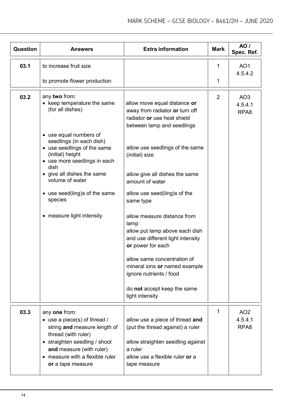| <b>Question</b> | Answers                                                                                                                                                                     | <b>Extra information</b>                                                                                                        | <b>Mark</b>    | AO /<br>Spec. Ref.                 |
|-----------------|-----------------------------------------------------------------------------------------------------------------------------------------------------------------------------|---------------------------------------------------------------------------------------------------------------------------------|----------------|------------------------------------|
| 03.1            | to increase fruit size                                                                                                                                                      |                                                                                                                                 | 1              | AO <sub>1</sub><br>4.5.4.2         |
|                 | to promote flower production                                                                                                                                                |                                                                                                                                 | 1              |                                    |
| 03.2            | any two from:<br>• keep temperature the same<br>(for all dishes)                                                                                                            | allow move equal distance or<br>away from radiator or turn off<br>radiator or use heat shield<br>between lamp and seedlings     | $\overline{2}$ | AO <sub>3</sub><br>4.5.4.1<br>RPA8 |
|                 | • use equal numbers of<br>seedlings (in each dish)<br>• use seedlings of the same<br>(initial) height<br>• use more seedlings in each<br>dish<br>• give all dishes the same | allow use seedlings of the same<br>(initial) size<br>allow give all dishes the same                                             |                |                                    |
|                 | volume of water<br>• use seed(ling)s of the same<br>species                                                                                                                 | amount of water<br>allow use seed(ling)s of the<br>same type                                                                    |                |                                    |
|                 | • measure light intensity                                                                                                                                                   | allow measure distance from<br>lamp<br>allow put lamp above each dish<br>and use different light intensity<br>or power for each |                |                                    |
|                 |                                                                                                                                                                             | allow same concentration of<br>mineral ions or named example<br>ignore nutrients / food                                         |                |                                    |
|                 |                                                                                                                                                                             | do not accept keep the same<br>light intensity                                                                                  |                |                                    |
| 03.3            | any one from:<br>• use a piece(s) of thread /<br>string and measure length of<br>thread (with ruler)<br>• straighten seedling / shoot                                       | allow use a piece of thread and<br>(put the thread against) a ruler                                                             | 1              | AO <sub>2</sub><br>4.5.4.1<br>RPA8 |
|                 | and measure (with ruler)<br>• measure with a flexible ruler<br>or a tape measure                                                                                            | allow straighten seedling against<br>a ruler<br>allow use a flexible ruler or a<br>tape measure                                 |                |                                    |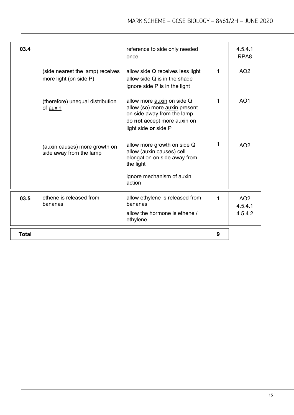| 03.4         |                                                            | reference to side only needed<br>once                                                                                                            |   | 4.5.4.1<br>RPA <sub>8</sub>           |
|--------------|------------------------------------------------------------|--------------------------------------------------------------------------------------------------------------------------------------------------|---|---------------------------------------|
|              | (side nearest the lamp) receives<br>more light (on side P) | allow side Q receives less light<br>allow side $Q$ is in the shade<br>ignore side P is in the light                                              | 1 | AO <sub>2</sub>                       |
|              | (therefore) unequal distribution<br>of auxin               | allow more auxin on side Q<br>allow (so) more auxin present<br>on side away from the lamp<br>do not accept more auxin on<br>light side or side P | 1 | AO <sub>1</sub>                       |
|              | (auxin causes) more growth on<br>side away from the lamp   | allow more growth on side Q<br>allow (auxin causes) cell<br>elongation on side away from<br>the light                                            | 1 | AO <sub>2</sub>                       |
|              |                                                            | ignore mechanism of auxin<br>action                                                                                                              |   |                                       |
| 03.5         | ethene is released from<br>bananas                         | allow ethylene is released from<br>bananas<br>allow the hormone is ethene /<br>ethylene                                                          | 1 | AO <sub>2</sub><br>4.5.4.1<br>4.5.4.2 |
| <b>Total</b> |                                                            |                                                                                                                                                  | 9 |                                       |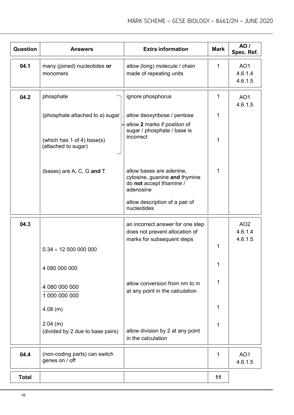| <b>Question</b> | <b>Answers</b>                                    | <b>Extra information</b>                                                                           | <b>Mark</b> | AO/<br>Spec. Ref.                     |
|-----------------|---------------------------------------------------|----------------------------------------------------------------------------------------------------|-------------|---------------------------------------|
| 04.1            | many (joined) nucleotides or<br>monomers          | allow (long) molecule / chain<br>made of repeating units                                           | 1           | AO <sub>1</sub><br>4.6.1.4<br>4.6.1.5 |
| 04.2            | phosphate                                         | ignore phosphorus                                                                                  | 1           | AO <sub>1</sub><br>4.6.1.5            |
|                 | (phosphate attached to a) sugar                   | allow deoxyribose / pentose                                                                        | 1           |                                       |
|                 | (which has 1 of 4) base(s)<br>(attached to sugar) | allow 2 marks if position of<br>sugar / phosphate / base is<br>incorrect                           | 1           |                                       |
|                 | (bases) are A, C, G and T                         | allow bases are adenine,<br>cytosine, guanine and thymine<br>do not accept thiamine /<br>adenosine | 1           |                                       |
|                 |                                                   | allow description of a pair of<br>nucleotides                                                      |             |                                       |
| 04.3            |                                                   | an incorrect answer for one step<br>does not prevent allocation of<br>marks for subsequent steps   |             | AO <sub>2</sub><br>4.6.1.4<br>4.6.1.5 |
|                 | $0.34 \times 12000000000$                         |                                                                                                    | 1           |                                       |
|                 | 4 080 000 000                                     |                                                                                                    | 1           |                                       |
|                 | 4 080 000 000<br>1 000 000 000                    | allow conversion from nm to m<br>at any point in the calculation                                   | 1           |                                       |
|                 | $4.08$ (m)                                        |                                                                                                    | 1           |                                       |
|                 | $2.04$ (m)<br>(divided by 2 due to base pairs)    | allow division by 2 at any point<br>in the calculation                                             | 1           |                                       |
| 04.4            | (non-coding parts) can switch<br>genes on / off   |                                                                                                    | 1           | AO <sub>1</sub><br>4.6.1.5            |
| <b>Total</b>    |                                                   |                                                                                                    | 11          |                                       |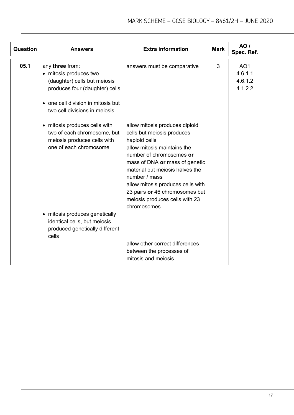| Question | <b>Answers</b>                                                                                                                                                                   | <b>Extra information</b>                                                                                                                                                                                                                                                                                                                               | <b>Mark</b> | <b>AO</b> /<br>Spec. Ref.                        |
|----------|----------------------------------------------------------------------------------------------------------------------------------------------------------------------------------|--------------------------------------------------------------------------------------------------------------------------------------------------------------------------------------------------------------------------------------------------------------------------------------------------------------------------------------------------------|-------------|--------------------------------------------------|
| 05.1     | any three from:<br>• mitosis produces two<br>(daughter) cells but meiosis<br>produces four (daughter) cells<br>one cell division in mitosis but<br>two cell divisions in meiosis | answers must be comparative                                                                                                                                                                                                                                                                                                                            | 3           | AO <sub>1</sub><br>4.6.1.1<br>4.6.1.2<br>4.1.2.2 |
|          | • mitosis produces cells with<br>two of each chromosome, but<br>meiosis produces cells with<br>one of each chromosome                                                            | allow mitosis produces diploid<br>cells but meiosis produces<br>haploid cells<br>allow mitosis maintains the<br>number of chromosomes or<br>mass of DNA or mass of genetic<br>material but meiosis halves the<br>number / mass<br>allow mitosis produces cells with<br>23 pairs or 46 chromosomes but<br>meiosis produces cells with 23<br>chromosomes |             |                                                  |
|          | • mitosis produces genetically<br>identical cells, but meiosis<br>produced genetically different<br>cells                                                                        | allow other correct differences<br>between the processes of<br>mitosis and meiosis                                                                                                                                                                                                                                                                     |             |                                                  |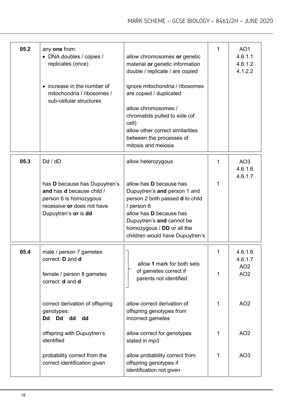| 05.2 | any one from:<br>• DNA doubles / copies /<br>replicates (once)<br>• increase in the number of<br>mitochondria / ribosomes /<br>sub-cellular structures | allow chromosomes or genetic<br>material or genetic information<br>double / replicate / are copied<br>ignore mitochondria / ribosomes<br>are copied / duplicated<br>allow chromosomes /<br>chromatids pulled to side (of<br>cell)<br>allow other correct similarities<br>between the processes of<br>mitosis and meiosis | 1      | AO <sub>1</sub><br>4.6.1.1<br>4.6.1.2<br>4.1.2.2         |
|------|--------------------------------------------------------------------------------------------------------------------------------------------------------|--------------------------------------------------------------------------------------------------------------------------------------------------------------------------------------------------------------------------------------------------------------------------------------------------------------------------|--------|----------------------------------------------------------|
| 05.3 | Dd / dD                                                                                                                                                | allow heterozygous                                                                                                                                                                                                                                                                                                       | 1      | AO3<br>4.6.1.6<br>4.6.1.7                                |
|      | has D because has Dupuytren's<br>and has d because child /<br>person 6 is homozygous<br>recessive or does not have<br>Dupuytren's or is dd             | allow has <b>D</b> because has<br>Dupuytren's and person 1 and<br>person 2 both passed <b>d</b> to child<br>/ person 6<br>allow has <b>D</b> because has<br>Dupuytren's and cannot be<br>homozygous / DD or all the<br>children would have Dupuytren's                                                                   | 1      |                                                          |
| 05.4 | male / person 7 gametes<br>correct: <b>D</b> and <b>d</b><br>female / person 8 gametes                                                                 | allow 1 mark for both sets<br>of gametes correct if                                                                                                                                                                                                                                                                      | 1<br>1 | 4.6.1.6<br>4.6.1.7<br>AO <sub>2</sub><br>AO <sub>2</sub> |
|      | correct: <b>d</b> and <b>d</b><br>correct derivation of offspring<br>genotypes:                                                                        | parents not identified<br>allow correct derivation of<br>offspring genotypes from                                                                                                                                                                                                                                        | 1      | AO <sub>2</sub>                                          |
|      | <b>Dd</b><br><b>Dd</b><br>dd<br>dd<br>offspring with Dupuytren's<br>identified                                                                         | incorrect gametes<br>allow correct for genotypes<br>stated in mp3                                                                                                                                                                                                                                                        | 1      | AO <sub>2</sub>                                          |
|      | probability correct from the<br>correct identification given                                                                                           | allow probability correct from<br>offspring genotypes if<br>identification not given                                                                                                                                                                                                                                     | 1      | AO <sub>3</sub>                                          |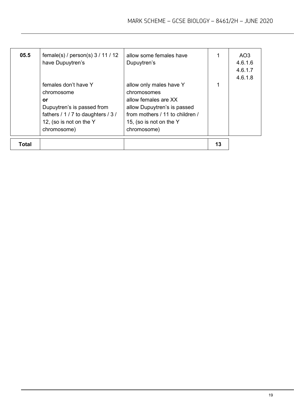| 05.5  | female(s) / person(s) $3 / 11 / 12$<br>have Dupuytren's                                                                                                | allow some females have<br>Dupuytren's                                                                                                                                     |    | AO3<br>4.6.1.6<br>4.6.1.7<br>4.6.1.8 |
|-------|--------------------------------------------------------------------------------------------------------------------------------------------------------|----------------------------------------------------------------------------------------------------------------------------------------------------------------------------|----|--------------------------------------|
|       | females don't have Y<br>chromosome<br>or<br>Dupuytren's is passed from<br>fathers / 1 / 7 to daughters / 3 /<br>12, (so is not on the Y<br>chromosome) | allow only males have Y<br>chromosomes<br>allow females are XX<br>allow Dupuytren's is passed<br>from mothers / 11 to children /<br>15, (so is not on the Y<br>chromosome) |    |                                      |
| Total |                                                                                                                                                        |                                                                                                                                                                            | 13 |                                      |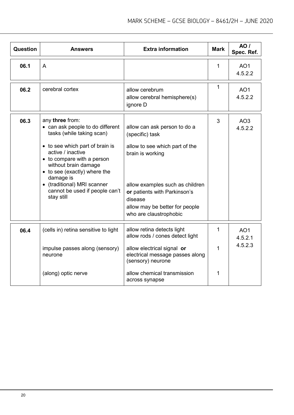| <b>Question</b> | <b>Answers</b>                                                                                                                                                                                                                                                                                                             | <b>Extra information</b>                                                                                                                                                                                                                        | <b>Mark</b> | AO/<br>Spec. Ref.                     |
|-----------------|----------------------------------------------------------------------------------------------------------------------------------------------------------------------------------------------------------------------------------------------------------------------------------------------------------------------------|-------------------------------------------------------------------------------------------------------------------------------------------------------------------------------------------------------------------------------------------------|-------------|---------------------------------------|
| 06.1            | $\overline{A}$                                                                                                                                                                                                                                                                                                             |                                                                                                                                                                                                                                                 | 1           | AO <sub>1</sub><br>4.5.2.2            |
| 06.2            | cerebral cortex                                                                                                                                                                                                                                                                                                            | allow cerebrum<br>allow cerebral hemisphere(s)<br>ignore D                                                                                                                                                                                      | 1           | AO <sub>1</sub><br>4.5.2.2            |
| 06.3            | any three from:<br>• can ask people to do different<br>tasks (while taking scan)<br>• to see which part of brain is<br>active / inactive<br>• to compare with a person<br>without brain damage<br>• to see (exactly) where the<br>damage is<br>• (traditional) MRI scanner<br>cannot be used if people can't<br>stay still | allow can ask person to do a<br>(specific) task<br>allow to see which part of the<br>brain is working<br>allow examples such as children<br>or patients with Parkinson's<br>disease<br>allow may be better for people<br>who are claustrophobic | 3           | AO <sub>3</sub><br>4.5.2.2            |
| 06.4            | (cells in) retina sensitive to light<br>impulse passes along (sensory)<br>neurone<br>(along) optic nerve                                                                                                                                                                                                                   | allow retina detects light<br>allow rods / cones detect light<br>allow electrical signal or<br>electrical message passes along<br>(sensory) neurone<br>allow chemical transmission<br>across synapse                                            | 1<br>1<br>1 | AO <sub>1</sub><br>4.5.2.1<br>4.5.2.3 |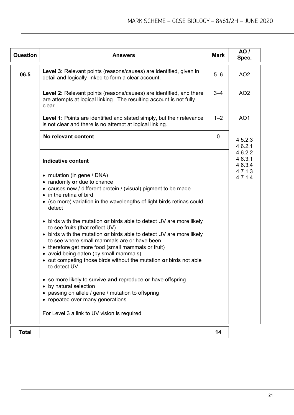| <b>Question</b> | <b>Answers</b>                                                                                                                                                                                                                                                                                                                                                                                                       | <b>Mark</b> | <b>AO</b> /<br>Spec.                                |
|-----------------|----------------------------------------------------------------------------------------------------------------------------------------------------------------------------------------------------------------------------------------------------------------------------------------------------------------------------------------------------------------------------------------------------------------------|-------------|-----------------------------------------------------|
| 06.5            | Level 3: Relevant points (reasons/causes) are identified, given in<br>detail and logically linked to form a clear account.                                                                                                                                                                                                                                                                                           | $5 - 6$     | AO <sub>2</sub>                                     |
|                 | <b>Level 2:</b> Relevant points (reasons/causes) are identified, and there<br>are attempts at logical linking. The resulting account is not fully<br>clear.                                                                                                                                                                                                                                                          | $3 - 4$     | AO <sub>2</sub>                                     |
|                 | <b>Level 1:</b> Points are identified and stated simply, but their relevance<br>is not clear and there is no attempt at logical linking.                                                                                                                                                                                                                                                                             | $1 - 2$     | AO <sub>1</sub>                                     |
|                 | No relevant content                                                                                                                                                                                                                                                                                                                                                                                                  | $\mathbf 0$ | 4.5.2.3<br>4.6.2.1                                  |
|                 | <b>Indicative content</b><br>• mutation (in gene / DNA)                                                                                                                                                                                                                                                                                                                                                              |             | 4.6.2.2<br>4.6.3.1<br>4.6.3.4<br>4.7.1.3<br>4.7.1.4 |
|                 | • randomly or due to chance<br>• causes new / different protein / (visual) pigment to be made<br>• in the retina of bird<br>• (so more) variation in the wavelengths of light birds retinas could<br>detect                                                                                                                                                                                                          |             |                                                     |
|                 | • birds with the mutation or birds able to detect UV are more likely<br>to see fruits (that reflect UV)<br>• birds with the mutation or birds able to detect UV are more likely<br>to see where small mammals are or have been<br>• therefore get more food (small mammals or fruit)<br>• avoid being eaten (by small mammals)<br>• out competing those birds without the mutation or birds not able<br>to detect UV |             |                                                     |
|                 | • so more likely to survive and reproduce or have offspring<br>• by natural selection<br>• passing on allele / gene / mutation to offspring<br>• repeated over many generations<br>For Level 3 a link to UV vision is required                                                                                                                                                                                       |             |                                                     |
| <b>Total</b>    |                                                                                                                                                                                                                                                                                                                                                                                                                      | 14          |                                                     |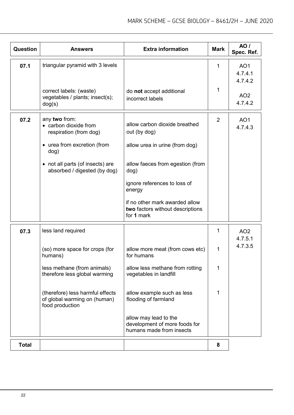| <b>Question</b> | <b>Answers</b>                                                                      | <b>Extra information</b>                                                           | <b>Mark</b>    | <b>AO</b> /<br>Spec. Ref.             |
|-----------------|-------------------------------------------------------------------------------------|------------------------------------------------------------------------------------|----------------|---------------------------------------|
| 07.1            | triangular pyramid with 3 levels                                                    |                                                                                    | 1              | AO <sub>1</sub><br>4.7.4.1<br>4.7.4.2 |
|                 | correct labels: (waste)<br>vegetables / plants; insect(s);<br>dog(s)                | do not accept additional<br>incorrect labels                                       | 1              | AO <sub>2</sub><br>4.7.4.2            |
| 07.2            | any two from:<br>• carbon dioxide from<br>respiration (from dog)                    | allow carbon dioxide breathed<br>out (by dog)                                      | $\overline{2}$ | AO <sub>1</sub><br>4.7.4.3            |
|                 | • urea from excretion (from<br>dog)                                                 | allow urea in urine (from dog)                                                     |                |                                       |
|                 | • not all parts (of insects) are<br>absorbed / digested (by dog)                    | allow faeces from egestion (from<br>dog)                                           |                |                                       |
|                 |                                                                                     | ignore references to loss of<br>energy                                             |                |                                       |
|                 |                                                                                     | if no other mark awarded allow<br>two factors without descriptions<br>for 1 mark   |                |                                       |
| 07.3            | less land required                                                                  |                                                                                    | 1              | AO <sub>2</sub><br>4.7.5.1            |
|                 | (so) more space for crops (for<br>humans)                                           | allow more meat (from cows etc)<br>for humans                                      | 1              | 4.7.3.5                               |
|                 | less methane (from animals)<br>therefore less global warming                        | allow less methane from rotting<br>vegetables in landfill                          | 1              |                                       |
|                 | (therefore) less harmful effects<br>of global warming on (human)<br>food production | allow example such as less<br>flooding of farmland                                 | 1              |                                       |
|                 |                                                                                     | allow may lead to the<br>development of more foods for<br>humans made from insects |                |                                       |
| <b>Total</b>    |                                                                                     |                                                                                    | 8              |                                       |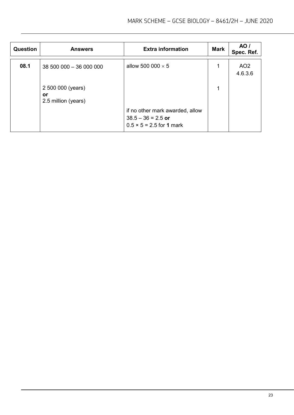| Question | <b>Answers</b>                                 | <b>Extra information</b>                                                                   | <b>Mark</b> | <b>AO</b> /<br>Spec. Ref.  |
|----------|------------------------------------------------|--------------------------------------------------------------------------------------------|-------------|----------------------------|
| 08.1     | 38 500 000 - 36 000 000                        | allow 500 000 $\times$ 5                                                                   | 1           | AO <sub>2</sub><br>4.6.3.6 |
|          | 2 500 000 (years)<br>or<br>2.5 million (years) |                                                                                            | 1           |                            |
|          |                                                | if no other mark awarded, allow<br>$38.5 - 36 = 2.5$ or<br>$0.5 \times 5 = 2.5$ for 1 mark |             |                            |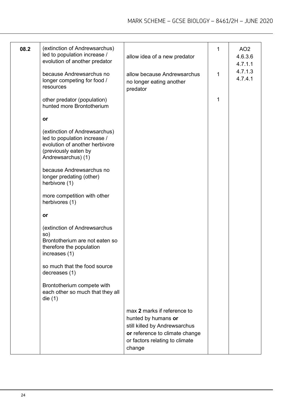| 08.2 | (extinction of Andrewsarchus)<br>led to population increase /<br>evolution of another predator<br>because Andrewsarchus no<br>longer competing for food /<br>resources | allow idea of a new predator<br>allow because Andrewsarchus<br>no longer eating another<br>predator                                                               | 1<br>1 | AO <sub>2</sub><br>4.6.3.6<br>4.7.1.1<br>4.7.1.3<br>4.7.4.1 |
|------|------------------------------------------------------------------------------------------------------------------------------------------------------------------------|-------------------------------------------------------------------------------------------------------------------------------------------------------------------|--------|-------------------------------------------------------------|
|      | other predator (population)<br>hunted more Brontotherium                                                                                                               |                                                                                                                                                                   | 1      |                                                             |
|      | or                                                                                                                                                                     |                                                                                                                                                                   |        |                                                             |
|      | (extinction of Andrewsarchus)<br>led to population increase /<br>evolution of another herbivore<br>(previously eaten by<br>Andrewsarchus) (1)                          |                                                                                                                                                                   |        |                                                             |
|      | because Andrewsarchus no<br>longer predating (other)<br>herbivore (1)                                                                                                  |                                                                                                                                                                   |        |                                                             |
|      | more competition with other<br>herbivores (1)                                                                                                                          |                                                                                                                                                                   |        |                                                             |
|      | or                                                                                                                                                                     |                                                                                                                                                                   |        |                                                             |
|      | (extinction of Andrewsarchus<br>so)<br>Brontotherium are not eaten so<br>therefore the population<br>increases (1)                                                     |                                                                                                                                                                   |        |                                                             |
|      | so much that the food source<br>decreases (1)                                                                                                                          |                                                                                                                                                                   |        |                                                             |
|      | Brontotherium compete with<br>each other so much that they all<br>die $(1)$                                                                                            |                                                                                                                                                                   |        |                                                             |
|      |                                                                                                                                                                        | max 2 marks if reference to<br>hunted by humans or<br>still killed by Andrewsarchus<br>or reference to climate change<br>or factors relating to climate<br>change |        |                                                             |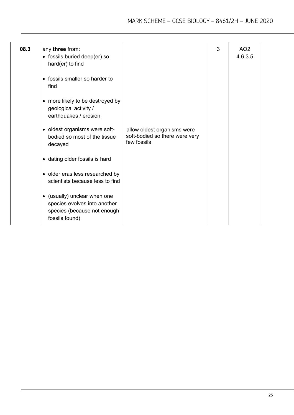| 08.3 | any three from:<br>• fossils buried deep(er) so<br>hard(er) to find                                           |                                                                              | 3 | AO <sub>2</sub><br>4.6.3.5 |
|------|---------------------------------------------------------------------------------------------------------------|------------------------------------------------------------------------------|---|----------------------------|
|      | • fossils smaller so harder to<br>find                                                                        |                                                                              |   |                            |
|      | • more likely to be destroyed by<br>geological activity /<br>earthquakes / erosion                            |                                                                              |   |                            |
|      | • oldest organisms were soft-<br>bodied so most of the tissue<br>decayed                                      | allow oldest organisms were<br>soft-bodied so there were very<br>few fossils |   |                            |
|      | • dating older fossils is hard                                                                                |                                                                              |   |                            |
|      | • older eras less researched by<br>scientists because less to find                                            |                                                                              |   |                            |
|      | • (usually) unclear when one<br>species evolves into another<br>species (because not enough<br>fossils found) |                                                                              |   |                            |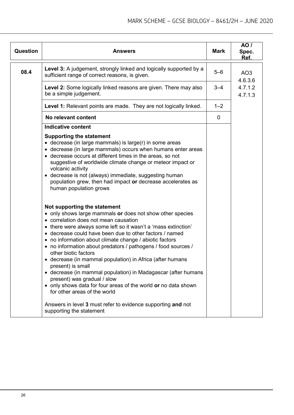| <b>Question</b> | <b>Answers</b>                                                                                                                                                                                                                                                                                                                                                                                                                                                                                                                                                                                                                                                                                                                                                                                      | <b>Mark</b> | AO /<br>Spec.<br>Ref.      |
|-----------------|-----------------------------------------------------------------------------------------------------------------------------------------------------------------------------------------------------------------------------------------------------------------------------------------------------------------------------------------------------------------------------------------------------------------------------------------------------------------------------------------------------------------------------------------------------------------------------------------------------------------------------------------------------------------------------------------------------------------------------------------------------------------------------------------------------|-------------|----------------------------|
| 08.4            | Level 3: A judgement, strongly linked and logically supported by a<br>sufficient range of correct reasons, is given.                                                                                                                                                                                                                                                                                                                                                                                                                                                                                                                                                                                                                                                                                | $5 - 6$     | AO <sub>3</sub><br>4.6.3.6 |
|                 | Level 2: Some logically linked reasons are given. There may also<br>be a simple judgement.                                                                                                                                                                                                                                                                                                                                                                                                                                                                                                                                                                                                                                                                                                          | $3 - 4$     | 4.7.1.2<br>4.7.1.3         |
|                 | <b>Level 1:</b> Relevant points are made. They are not logically linked.                                                                                                                                                                                                                                                                                                                                                                                                                                                                                                                                                                                                                                                                                                                            | $1 - 2$     |                            |
|                 | No relevant content                                                                                                                                                                                                                                                                                                                                                                                                                                                                                                                                                                                                                                                                                                                                                                                 | $\mathbf 0$ |                            |
|                 | <b>Indicative content</b>                                                                                                                                                                                                                                                                                                                                                                                                                                                                                                                                                                                                                                                                                                                                                                           |             |                            |
|                 | <b>Supporting the statement</b><br>• decrease (in large mammals) is large(r) in some areas<br>• decrease (in large mammals) occurs when humans enter areas<br>• decrease occurs at different times in the areas, so not<br>suggestive of worldwide climate change or meteor impact or<br>volcanic activity<br>• decrease is not (always) immediate, suggesting human<br>population grew, then had impact or decrease accelerates as<br>human population grows                                                                                                                                                                                                                                                                                                                                       |             |                            |
|                 | Not supporting the statement<br>• only shows large mammals or does not show other species<br>• correlation does not mean causation<br>• there were always some left so it wasn't a 'mass extinction'<br>• decrease could have been due to other factors / named<br>• no information about climate change / abiotic factors<br>• no information about predators / pathogens / food sources /<br>other biotic factors<br>• decrease (in mammal population) in Africa (after humans<br>present) is small<br>• decrease (in mammal population) in Madagascar (after humans<br>present) was gradual / slow<br>• only shows data for four areas of the world or no data shown<br>for other areas of the world<br>Answers in level 3 must refer to evidence supporting and not<br>supporting the statement |             |                            |